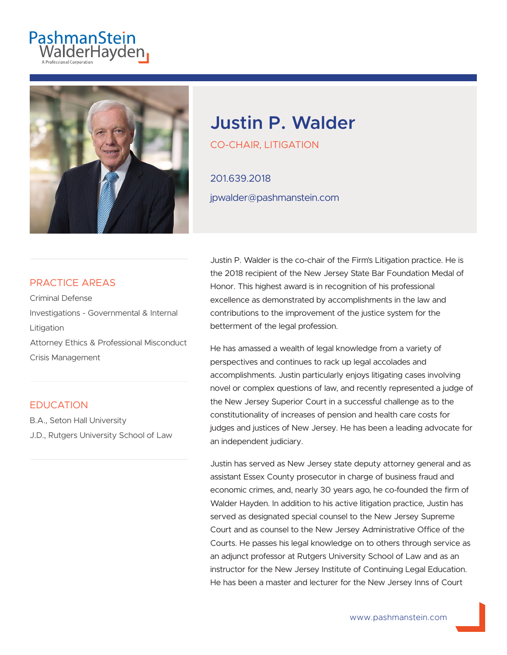# PashmanStein<br>WalderHayden



# **Justin P. Walder**

CO-CHAIR, LITIGATION

201.639.2018 jpwalder@pashmanstein.com

#### PRACTICE AREAS

Criminal Defense Investigations - Governmental & Internal Litigation Attorney Ethics & Professional Misconduct Crisis Management

#### **EDUCATION**

B.A., Seton Hall University J.D., Rutgers University School of Law

Justin P. Walder is the co-chair of the Firm's Litigation practice. He is the 2018 recipient of the New Jersey State Bar Foundation Medal of Honor. This highest award is in recognition of his professional excellence as demonstrated by accomplishments in the law and contributions to the improvement of the justice system for the betterment of the legal profession.

He has amassed a wealth of legal knowledge from a variety of perspectives and continues to rack up legal accolades and accomplishments. Justin particularly enjoys litigating cases involving novel or complex questions of law, and recently represented a judge of the New Jersey Superior Court in a successful challenge as to the constitutionality of increases of pension and health care costs for judges and justices of New Jersey. He has been a leading advocate for an independent judiciary.

Justin has served as New Jersey state deputy attorney general and as assistant Essex County prosecutor in charge of business fraud and economic crimes, and, nearly 30 years ago, he co-founded the firm of Walder Hayden. In addition to his active litigation practice, Justin has served as designated special counsel to the New Jersey Supreme Court and as counsel to the New Jersey Administrative Office of the Courts. He passes his legal knowledge on to others through service as an adjunct professor at Rutgers University School of Law and as an instructor for the New Jersey Institute of Continuing Legal Education. He has been a master and lecturer for the New Jersey Inns of Court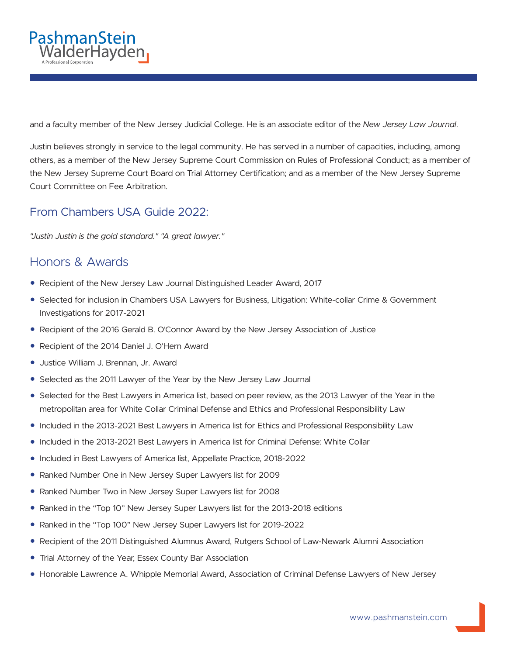

and a faculty member of the New Jersey Judicial College. He is an associate editor of the *New Jersey Law Journal*.

Justin believes strongly in service to the legal community. He has served in a number of capacities, including, among others, as a member of the New Jersey Supreme Court Commission on Rules of Professional Conduct; as a member of the New Jersey Supreme Court Board on Trial Attorney Certification; and as a member of the New Jersey Supreme Court Committee on Fee Arbitration.

#### From Chambers USA Guide 2022:

*"Justin Justin is the gold standard." "A great lawyer."*

### Honors & Awards

- Recipient of the New Jersey Law Journal Distinguished Leader Award, 2017
- Selected for inclusion in Chambers USA Lawyers for Business, Litigation: White-collar Crime & Government Investigations for 2017-2021
- Recipient of the 2016 Gerald B. O'Connor Award by the New Jersey Association of Justice
- Recipient of the 2014 Daniel J. O'Hern Award
- Justice William J. Brennan, Jr. Award
- Selected as the 2011 Lawyer of the Year by the New Jersey Law Journal
- Selected for the Best Lawyers in America list, based on peer review, as the 2013 Lawyer of the Year in the metropolitan area for White Collar Criminal Defense and Ethics and Professional Responsibility Law
- Included in the 2013-2021 Best Lawyers in America list for Ethics and Professional Responsibility Law
- Included in the 2013-2021 Best Lawyers in America list for Criminal Defense: White Collar
- Included in Best Lawyers of America list, Appellate Practice, 2018-2022
- Ranked Number One in New Jersey Super Lawyers list for 2009
- Ranked Number Two in New Jersey Super Lawyers list for 2008
- Ranked in the "Top 10" New Jersey Super Lawyers list for the 2013-2018 editions
- Ranked in the "Top 100" New Jersey Super Lawyers list for 2019-2022
- Recipient of the 2011 Distinguished Alumnus Award, Rutgers School of Law-Newark Alumni Association
- Trial Attorney of the Year, Essex County Bar Association
- Honorable Lawrence A. Whipple Memorial Award, Association of Criminal Defense Lawyers of New Jersey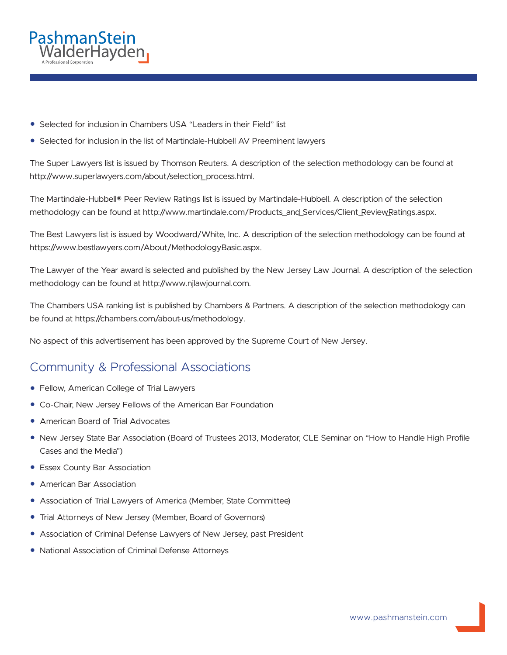

- Selected for inclusion in Chambers USA "Leaders in their Field" list
- Selected for inclusion in the list of Martindale-Hubbell AV Preeminent lawyers

The Super Lawyers list is issued by Thomson Reuters. A description of the selection methodology can be found at http://www.superlawyers.com/about/selection\_process.html.

The Martindale-Hubbell® Peer Review Ratings list is issued by Martindale-Hubbell. A description of the selection methodology can be found at http://www.martindale.com/Products\_and\_Services/Client\_Review\_Ratings.aspx.

The Best Lawyers list is issued by Woodward/White, Inc. A description of the selection methodology can be found at https://www.bestlawyers.com/About/MethodologyBasic.aspx.

The Lawyer of the Year award is selected and published by the New Jersey Law Journal. A description of the selection methodology can be found at http://www.njlawjournal.com.

The Chambers USA ranking list is published by Chambers & Partners. A description of the selection methodology can be found at https://chambers.com/about-us/methodology.

No aspect of this advertisement has been approved by the Supreme Court of New Jersey.

## Community & Professional Associations

- Fellow, American College of Trial Lawyers
- Co-Chair, New Jersey Fellows of the American Bar Foundation
- American Board of Trial Advocates
- New Jersey State Bar Association (Board of Trustees 2013, Moderator, CLE Seminar on "How to Handle High Profile Cases and the Media")
- Essex County Bar Association
- **American Bar Association**
- Association of Trial Lawyers of America (Member, State Committee)
- Trial Attorneys of New Jersey (Member, Board of Governors)
- Association of Criminal Defense Lawyers of New Jersey, past President
- National Association of Criminal Defense Attorneys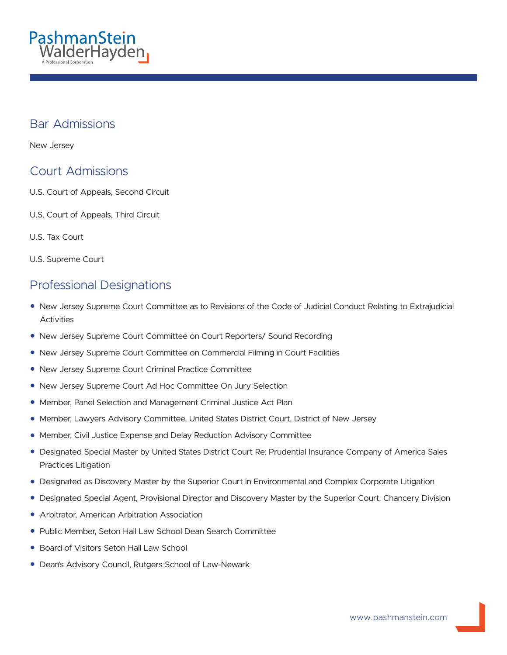

#### Bar Admissions

New Jersey

### Court Admissions

- U.S. Court of Appeals, Second Circuit
- U.S. Court of Appeals, Third Circuit
- U.S. Tax Court

U.S. Supreme Court

### Professional Designations

- New Jersey Supreme Court Committee as to Revisions of the Code of Judicial Conduct Relating to Extrajudicial Activities
- New Jersey Supreme Court Committee on Court Reporters/ Sound Recording
- New Jersey Supreme Court Committee on Commercial Filming in Court Facilities
- New Jersey Supreme Court Criminal Practice Committee
- New Jersey Supreme Court Ad Hoc Committee On Jury Selection
- Member, Panel Selection and Management Criminal Justice Act Plan
- Member, Lawyers Advisory Committee, United States District Court, District of New Jersey
- Member, Civil Justice Expense and Delay Reduction Advisory Committee
- Designated Special Master by United States District Court Re: Prudential Insurance Company of America Sales Practices Litigation
- Designated as Discovery Master by the Superior Court in Environmental and Complex Corporate Litigation
- Designated Special Agent, Provisional Director and Discovery Master by the Superior Court, Chancery Division
- Arbitrator, American Arbitration Association
- Public Member, Seton Hall Law School Dean Search Committee
- Board of Visitors Seton Hall Law School
- Dean's Advisory Council, Rutgers School of Law-Newark